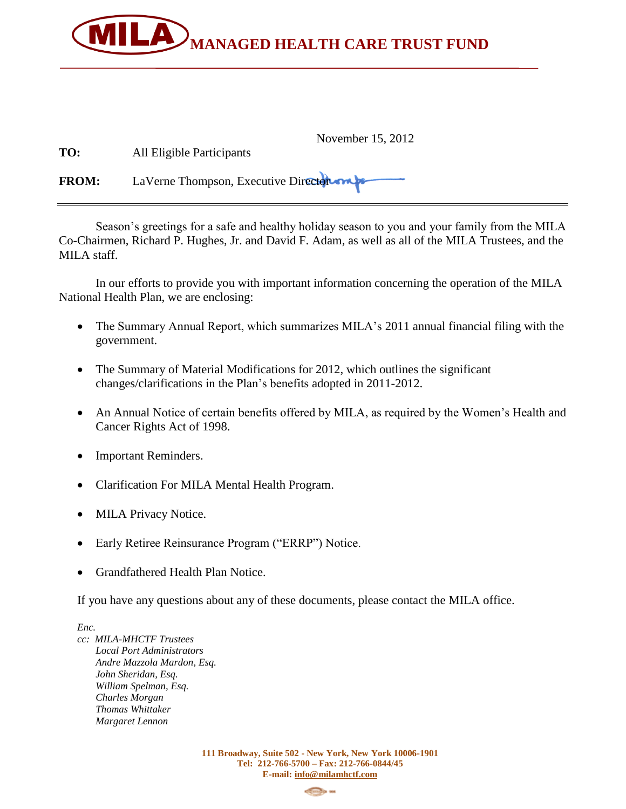

| TO:          | November 15, 2012<br>All Eligible Participants |
|--------------|------------------------------------------------|
| <b>FROM:</b> | LaVerne Thompson, Executive Director map       |

Season's greetings for a safe and healthy holiday season to you and your family from the MILA Co-Chairmen, Richard P. Hughes, Jr. and David F. Adam, as well as all of the MILA Trustees, and the MILA staff.

In our efforts to provide you with important information concerning the operation of the MILA National Health Plan, we are enclosing:

- The Summary Annual Report, which summarizes MILA's 2011 annual financial filing with the government.
- The Summary of Material Modifications for 2012, which outlines the significant changes/clarifications in the Plan's benefits adopted in 2011-2012.
- An Annual Notice of certain benefits offered by MILA, as required by the Women's Health and Cancer Rights Act of 1998.
- Important Reminders.
- Clarification For MILA Mental Health Program.
- MILA Privacy Notice.
- Early Retiree Reinsurance Program ("ERRP") Notice.
- Grandfathered Health Plan Notice.

If you have any questions about any of these documents, please contact the MILA office.

*Enc.* 

*cc: MILA-MHCTF Trustees Local Port Administrators Andre Mazzola Mardon, Esq. John Sheridan, Esq. William Spelman, Esq. Charles Morgan Thomas Whittaker Margaret Lennon*

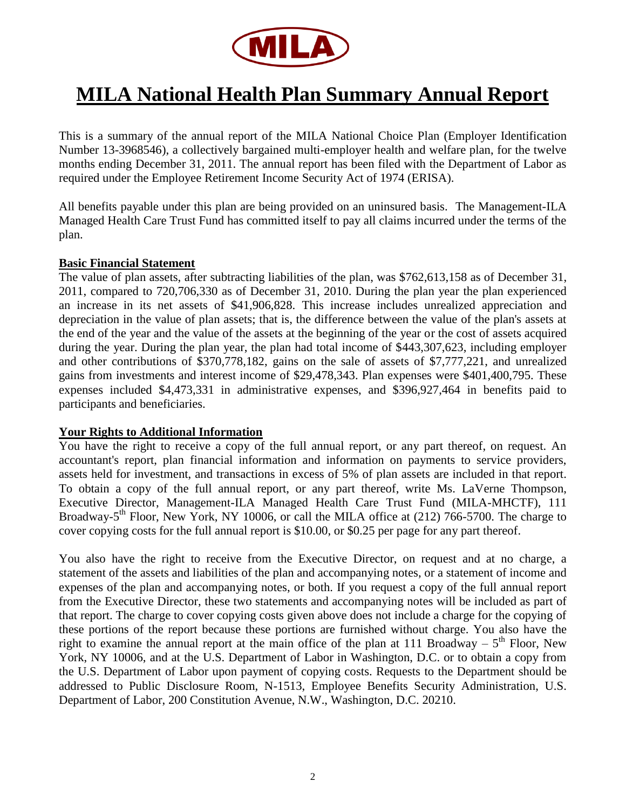

## **MILA National Health Plan Summary Annual Report**

This is a summary of the annual report of the MILA National Choice Plan (Employer Identification Number 13-3968546), a collectively bargained multi-employer health and welfare plan, for the twelve months ending December 31, 2011. The annual report has been filed with the Department of Labor as required under the Employee Retirement Income Security Act of 1974 (ERISA).

All benefits payable under this plan are being provided on an uninsured basis. The Management-ILA Managed Health Care Trust Fund has committed itself to pay all claims incurred under the terms of the plan.

#### **Basic Financial Statement**

The value of plan assets, after subtracting liabilities of the plan, was \$762,613,158 as of December 31, 2011, compared to 720,706,330 as of December 31, 2010. During the plan year the plan experienced an increase in its net assets of \$41,906,828. This increase includes unrealized appreciation and depreciation in the value of plan assets; that is, the difference between the value of the plan's assets at the end of the year and the value of the assets at the beginning of the year or the cost of assets acquired during the year. During the plan year, the plan had total income of \$443,307,623, including employer and other contributions of \$370,778,182, gains on the sale of assets of \$7,777,221, and unrealized gains from investments and interest income of \$29,478,343. Plan expenses were \$401,400,795. These expenses included \$4,473,331 in administrative expenses, and \$396,927,464 in benefits paid to participants and beneficiaries.

#### **Your Rights to Additional Information**

You have the right to receive a copy of the full annual report, or any part thereof, on request. An accountant's report, plan financial information and information on payments to service providers, assets held for investment, and transactions in excess of 5% of plan assets are included in that report. To obtain a copy of the full annual report, or any part thereof, write Ms. LaVerne Thompson, Executive Director, Management-ILA Managed Health Care Trust Fund (MILA-MHCTF), 111 Broadway-5<sup>th</sup> Floor, New York, NY 10006, or call the MILA office at (212) 766-5700. The charge to cover copying costs for the full annual report is \$10.00, or \$0.25 per page for any part thereof.

You also have the right to receive from the Executive Director, on request and at no charge, a statement of the assets and liabilities of the plan and accompanying notes, or a statement of income and expenses of the plan and accompanying notes, or both. If you request a copy of the full annual report from the Executive Director, these two statements and accompanying notes will be included as part of that report. The charge to cover copying costs given above does not include a charge for the copying of these portions of the report because these portions are furnished without charge. You also have the right to examine the annual report at the main office of the plan at 111 Broadway –  $5<sup>th</sup>$  Floor, New York, NY 10006, and at the U.S. Department of Labor in Washington, D.C. or to obtain a copy from the U.S. Department of Labor upon payment of copying costs. Requests to the Department should be addressed to Public Disclosure Room, N-1513, Employee Benefits Security Administration, U.S. Department of Labor, 200 Constitution Avenue, N.W., Washington, D.C. 20210.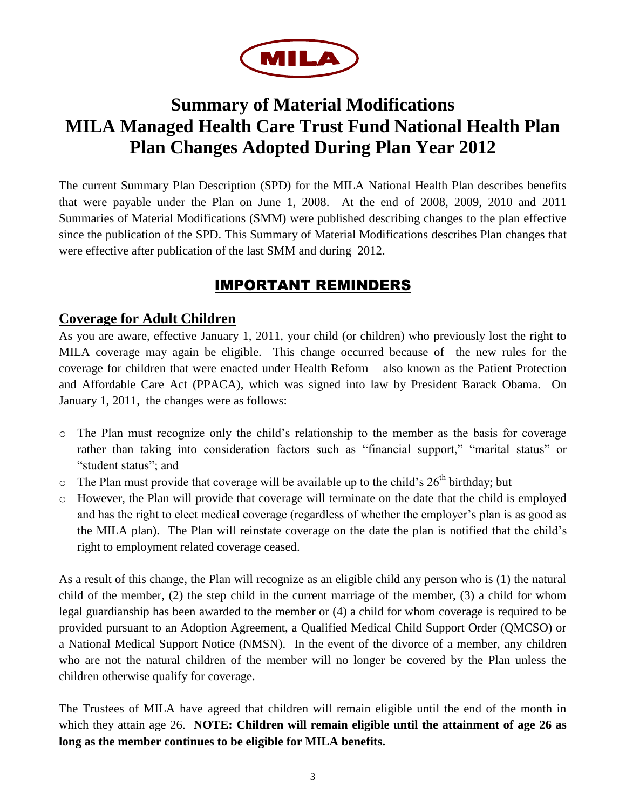

## **Summary of Material Modifications MILA Managed Health Care Trust Fund National Health Plan Plan Changes Adopted During Plan Year 2012**

The current Summary Plan Description (SPD) for the MILA National Health Plan describes benefits that were payable under the Plan on June 1, 2008. At the end of 2008, 2009, 2010 and 2011 Summaries of Material Modifications (SMM) were published describing changes to the plan effective since the publication of the SPD. This Summary of Material Modifications describes Plan changes that were effective after publication of the last SMM and during 2012.

## IMPORTANT REMINDERS

### **Coverage for Adult Children**

As you are aware, effective January 1, 2011, your child (or children) who previously lost the right to MILA coverage may again be eligible. This change occurred because of the new rules for the coverage for children that were enacted under Health Reform – also known as the Patient Protection and Affordable Care Act (PPACA), which was signed into law by President Barack Obama. On January 1, 2011, the changes were as follows:

- o The Plan must recognize only the child's relationship to the member as the basis for coverage rather than taking into consideration factors such as "financial support," "marital status" or "student status"; and
- $\circ$  The Plan must provide that coverage will be available up to the child's 26<sup>th</sup> birthday; but
- o However, the Plan will provide that coverage will terminate on the date that the child is employed and has the right to elect medical coverage (regardless of whether the employer's plan is as good as the MILA plan). The Plan will reinstate coverage on the date the plan is notified that the child's right to employment related coverage ceased.

As a result of this change, the Plan will recognize as an eligible child any person who is (1) the natural child of the member, (2) the step child in the current marriage of the member, (3) a child for whom legal guardianship has been awarded to the member or (4) a child for whom coverage is required to be provided pursuant to an Adoption Agreement, a Qualified Medical Child Support Order (QMCSO) or a National Medical Support Notice (NMSN). In the event of the divorce of a member, any children who are not the natural children of the member will no longer be covered by the Plan unless the children otherwise qualify for coverage.

The Trustees of MILA have agreed that children will remain eligible until the end of the month in which they attain age 26. **NOTE: Children will remain eligible until the attainment of age 26 as long as the member continues to be eligible for MILA benefits.**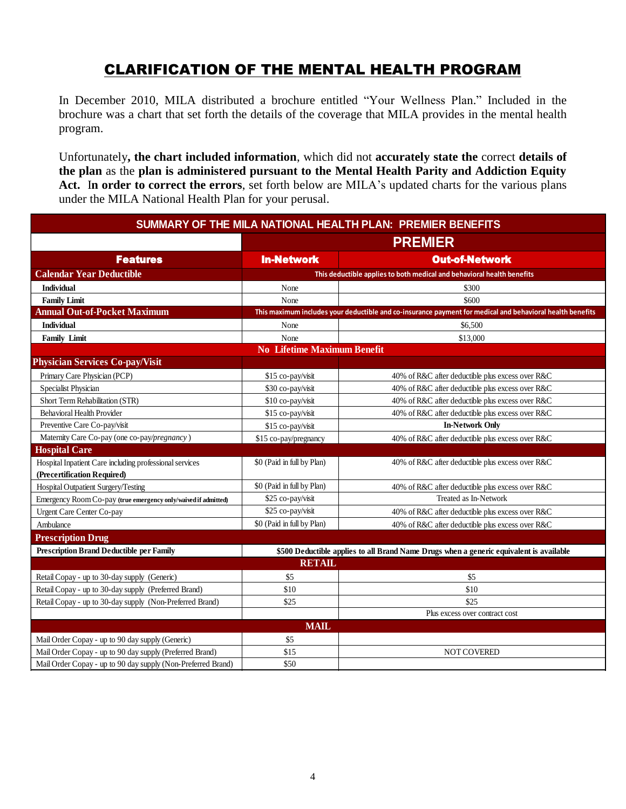## CLARIFICATION OF THE MENTAL HEALTH PROGRAM

In December 2010, MILA distributed a brochure entitled "Your Wellness Plan." Included in the brochure was a chart that set forth the details of the coverage that MILA provides in the mental health program.

Unfortunately**, the chart included information**, which did not **accurately state the** correct **details of the plan** as the **plan is administered pursuant to the Mental Health Parity and Addiction Equity Act.** I**n order to correct the errors**, set forth below are MILA's updated charts for the various plans under the MILA National Health Plan for your perusal.

|                                                                                        |                                    | SUMMARY OF THE MILA NATIONAL HEALTH PLAN: PREMIER BENEFITS                                                |  |
|----------------------------------------------------------------------------------------|------------------------------------|-----------------------------------------------------------------------------------------------------------|--|
|                                                                                        | <b>PREMIER</b>                     |                                                                                                           |  |
| <b>Features</b>                                                                        | <b>In-Network</b>                  | <b>Out-of-Network</b>                                                                                     |  |
| <b>Calendar Year Deductible</b>                                                        |                                    | This deductible applies to both medical and behavioral health benefits                                    |  |
| <b>Individual</b>                                                                      | None                               | \$300                                                                                                     |  |
| <b>Family Limit</b>                                                                    | None                               | \$600                                                                                                     |  |
| <b>Annual Out-of-Pocket Maximum</b>                                                    |                                    | This maximum includes your deductible and co-insurance payment for medical and behavioral health benefits |  |
| <b>Individual</b>                                                                      | None                               | \$6,500                                                                                                   |  |
| <b>Family Limit</b>                                                                    | None                               | \$13,000                                                                                                  |  |
|                                                                                        | <b>No Lifetime Maximum Benefit</b> |                                                                                                           |  |
| <b>Physician Services Co-pay/Visit</b>                                                 |                                    |                                                                                                           |  |
| Primary Care Physician (PCP)                                                           | \$15 co-pay/visit                  | 40% of R&C after deductible plus excess over R&C                                                          |  |
| Specialist Physician                                                                   | \$30 co-pay/visit                  | 40% of R&C after deductible plus excess over R&C                                                          |  |
| Short Term Rehabilitation (STR)                                                        | \$10 co-pay/visit                  | 40% of R&C after deductible plus excess over R&C                                                          |  |
| Behavioral Health Provider                                                             | \$15 co-pay/visit                  | 40% of R&C after deductible plus excess over R&C                                                          |  |
| Preventive Care Co-pay/visit                                                           | \$15 co-pay/visit                  | <b>In-Network Only</b>                                                                                    |  |
| Maternity Care Co-pay (one co-pay/pregnancy)                                           | \$15 co-pay/pregnancy              | 40% of R&C after deductible plus excess over R&C                                                          |  |
| <b>Hospital Care</b>                                                                   |                                    |                                                                                                           |  |
| Hospital Inpatient Care including professional services<br>(Precertification Required) | \$0 (Paid in full by Plan)         | 40% of R&C after deductible plus excess over R&C                                                          |  |
| Hospital Outpatient Surgery/Testing                                                    | \$0 (Paid in full by Plan)         | 40% of R&C after deductible plus excess over R&C                                                          |  |
| Emergency Room Co-pay (true emergency only/waived if admitted)                         | \$25 co-pay/visit                  | Treated as In-Network                                                                                     |  |
| Urgent Care Center Co-pay                                                              | \$25 co-pay/visit                  | 40% of R&C after deductible plus excess over R&C                                                          |  |
| Ambulance                                                                              | \$0 (Paid in full by Plan)         | 40% of R&C after deductible plus excess over R&C                                                          |  |
| <b>Prescription Drug</b>                                                               |                                    |                                                                                                           |  |
| <b>Prescription Brand Deductible per Family</b>                                        |                                    | \$500 Deductible applies to all Brand Name Drugs when a generic equivalent is available                   |  |
|                                                                                        | <b>RETAIL</b>                      |                                                                                                           |  |
| Retail Copay - up to 30-day supply (Generic)                                           | \$5                                | \$5                                                                                                       |  |
| Retail Copay - up to 30-day supply (Preferred Brand)                                   | \$10                               | \$10                                                                                                      |  |
| Retail Copay - up to 30-day supply (Non-Preferred Brand)                               | \$25                               | \$25                                                                                                      |  |
|                                                                                        |                                    | Plus excess over contract cost                                                                            |  |
|                                                                                        | <b>MAIL</b>                        |                                                                                                           |  |
| Mail Order Copay - up to 90 day supply (Generic)                                       | \$5                                |                                                                                                           |  |
| Mail Order Copay - up to 90 day supply (Preferred Brand)                               | \$15                               | NOT COVERED                                                                                               |  |
| Mail Order Copay - up to 90 day supply (Non-Preferred Brand)                           | \$50                               |                                                                                                           |  |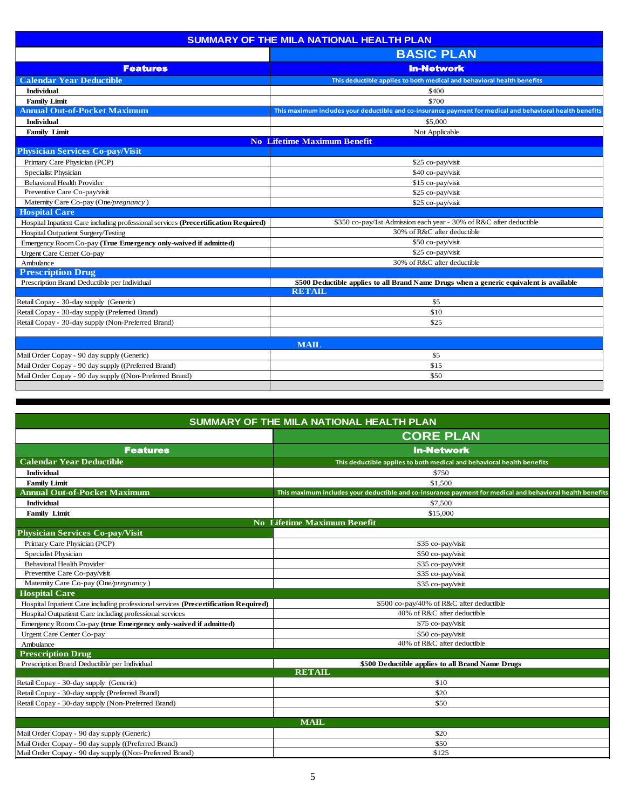|                                                                                     | <b>SUMMARY OF THE MILA NATIONAL HEALTH PLAN</b>                                                           |
|-------------------------------------------------------------------------------------|-----------------------------------------------------------------------------------------------------------|
|                                                                                     | <b>BASIC PLAN</b>                                                                                         |
| <b>Features</b>                                                                     | <b>In-Network</b>                                                                                         |
| <b>Calendar Year Deductible</b>                                                     | This deductible applies to both medical and behavioral health benefits                                    |
| <b>Individual</b>                                                                   | \$400                                                                                                     |
| <b>Family Limit</b>                                                                 | \$700                                                                                                     |
| <b>Annual Out-of-Pocket Maximum</b>                                                 | This maximum includes your deductible and co-insurance payment for medical and behavioral health benefits |
| <b>Individual</b>                                                                   | \$5,000                                                                                                   |
| <b>Family Limit</b>                                                                 | Not Applicable                                                                                            |
|                                                                                     | <b>No Lifetime Maximum Benefit</b>                                                                        |
| <b>Physician Services Co-pay/Visit</b>                                              |                                                                                                           |
| Primary Care Physician (PCP)                                                        | \$25 co-pay/visit                                                                                         |
| <b>Specialist Physician</b>                                                         | \$40 co-pay/visit                                                                                         |
| <b>Behavioral Health Provider</b>                                                   | \$15 co-pay/visit                                                                                         |
| Preventive Care Co-pay/visit                                                        | \$25 co-pay/visit                                                                                         |
| Maternity Care Co-pay (One/pregnancy)                                               | \$25 co-pay/visit                                                                                         |
| <b>Hospital Care</b>                                                                |                                                                                                           |
| Hospital Inpatient Care including professional services (Precertification Required) | \$350 co-pay/1st Admission each year - 30% of R&C after deductible                                        |
| Hospital Outpatient Surgery/Testing                                                 | 30% of R&C after deductible                                                                               |
| Emergency Room Co-pay (True Emergency only-waived if admitted)                      | \$50 co-pay/visit                                                                                         |
| <b>Urgent Care Center Co-pay</b>                                                    | \$25 co-pay/visit                                                                                         |
| Ambulance                                                                           | 30% of R&C after deductible                                                                               |
| <b>Prescription Drug</b>                                                            |                                                                                                           |
| Prescription Brand Deductible per Individual                                        | \$500 Deductible applies to all Brand Name Drugs when a generic equivalent is available                   |
|                                                                                     | <b>RETAIL</b>                                                                                             |
| Retail Copay - 30-day supply (Generic)                                              | \$5                                                                                                       |
| Retail Copay - 30-day supply (Preferred Brand)                                      | \$10                                                                                                      |
| Retail Copay - 30-day supply (Non-Preferred Brand)                                  | \$25                                                                                                      |
|                                                                                     |                                                                                                           |
|                                                                                     | <b>MAIL</b>                                                                                               |
| Mail Order Copay - 90 day supply (Generic)                                          | \$5                                                                                                       |
| Mail Order Copay - 90 day supply ((Preferred Brand)                                 | \$15                                                                                                      |
| Mail Order Copay - 90 day supply ((Non-Preferred Brand)                             | \$50                                                                                                      |

| SUMMARY OF THE MILA NATIONAL HEALTH PLAN                                            |                                                                                                           |
|-------------------------------------------------------------------------------------|-----------------------------------------------------------------------------------------------------------|
|                                                                                     | <b>CORE PLAN</b>                                                                                          |
| <b>Features</b>                                                                     | <b>In-Network</b>                                                                                         |
| <b>Calendar Year Deductible</b>                                                     | This deductible applies to both medical and behavioral health benefits                                    |
| <b>Individual</b>                                                                   | \$750                                                                                                     |
| <b>Family Limit</b>                                                                 | \$1.500                                                                                                   |
| <b>Annual Out-of-Pocket Maximum</b>                                                 | This maximum includes your deductible and co-insurance payment for medical and behavioral health benefits |
| <b>Individual</b>                                                                   | \$7,500                                                                                                   |
| <b>Family Limit</b>                                                                 | \$15,000                                                                                                  |
|                                                                                     | <b>No Lifetime Maximum Benefit</b>                                                                        |
| <b>Physician Services Co-pay/Visit</b>                                              |                                                                                                           |
| Primary Care Physician (PCP)                                                        | \$35 co-pay/visit                                                                                         |
| Specialist Physician                                                                | \$50 co-pay/visit                                                                                         |
| <b>Behavioral Health Provider</b>                                                   | \$35 co-pay/visit                                                                                         |
| Preventive Care Co-pay/visit                                                        | \$35 co-pay/visit                                                                                         |
| Maternity Care Co-pay (One/pregnancy)                                               | \$35 co-pay/visit                                                                                         |
| <b>Hospital Care</b>                                                                |                                                                                                           |
| Hospital Inpatient Care including professional services (Precertification Required) | \$500 co-pay/40% of R&C after deductible                                                                  |
| Hospital Outpatient Care including professional services                            | 40% of R&C after deductible                                                                               |
| Emergency Room Co-pay (true Emergency only-waived if admitted)                      | \$75 co-pay/visit                                                                                         |
| <b>Urgent Care Center Co-pay</b>                                                    | \$50 co-pay/visit                                                                                         |
| Ambulance                                                                           | 40% of R&C after deductible                                                                               |
| <b>Prescription Drug</b>                                                            |                                                                                                           |
| Prescription Brand Deductible per Individual                                        | \$500 Deductible applies to all Brand Name Drugs                                                          |
|                                                                                     | <b>RETAIL</b>                                                                                             |
| Retail Copay - 30-day supply (Generic)                                              | \$10                                                                                                      |
| Retail Copay - 30-day supply (Preferred Brand)                                      | \$20                                                                                                      |
| Retail Copay - 30-day supply (Non-Preferred Brand)                                  | \$50                                                                                                      |
|                                                                                     |                                                                                                           |
|                                                                                     | <b>MAIL</b>                                                                                               |
| Mail Order Copay - 90 day supply (Generic)                                          | \$20                                                                                                      |
| Mail Order Copay - 90 day supply ((Preferred Brand)                                 | \$50                                                                                                      |
| Mail Order Copay - 90 day supply ((Non-Preferred Brand)                             | \$125                                                                                                     |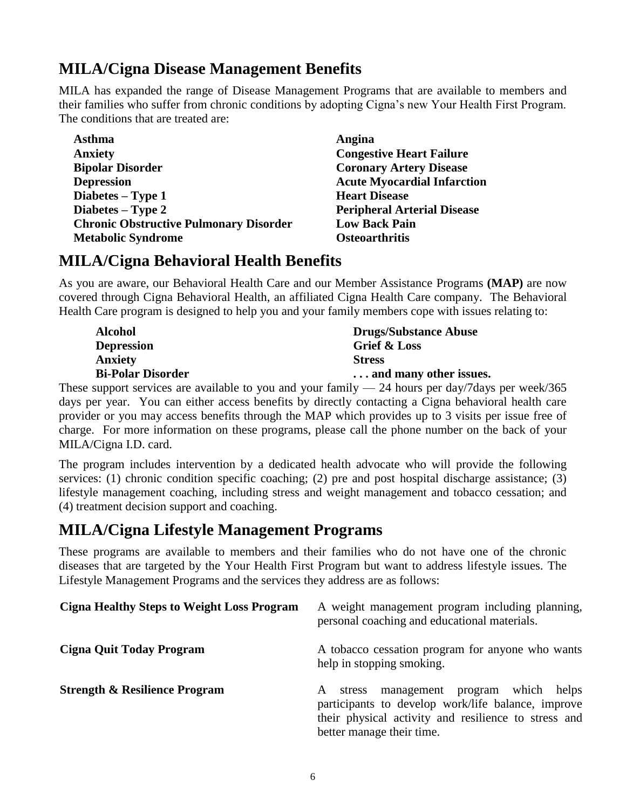## **MILA/Cigna Disease Management Benefits**

MILA has expanded the range of Disease Management Programs that are available to members and their families who suffer from chronic conditions by adopting Cigna's new Your Health First Program. The conditions that are treated are:

| <b>Asthma</b>                                 |
|-----------------------------------------------|
| <b>Anxiety</b>                                |
| <b>Bipolar Disorder</b>                       |
| <b>Depression</b>                             |
| Diabetes – Type 1                             |
| Diabetes – Type 2                             |
| <b>Chronic Obstructive Pulmonary Disorder</b> |
| <b>Metabolic Syndrome</b>                     |

Angina **Congestive Heart Failure Coronary Artery Disease Depression Acute Myocardial Infarction Heart Disease Diabetes – Type 2 Peripheral Arterial Disease Low Back Pain Osteoarthritis** 

## **MILA/Cigna Behavioral Health Benefits**

As you are aware, our Behavioral Health Care and our Member Assistance Programs **(MAP)** are now covered through Cigna Behavioral Health, an affiliated Cigna Health Care company. The Behavioral Health Care program is designed to help you and your family members cope with issues relating to:

| <b>Alcohol</b>           | <b>Drugs/Substance Abuse</b> |
|--------------------------|------------------------------|
| <b>Depression</b>        | Grief & Loss                 |
| <b>Anxiety</b>           | <b>Stress</b>                |
| <b>Bi-Polar Disorder</b> | and many other issues.       |

These support services are available to you and your family  $-24$  hours per day/7days per week/365 days per year. You can either access benefits by directly contacting a Cigna behavioral health care provider or you may access benefits through the MAP which provides up to 3 visits per issue free of charge. For more information on these programs, please call the phone number on the back of your MILA/Cigna I.D. card.

The program includes intervention by a dedicated health advocate who will provide the following services: (1) chronic condition specific coaching; (2) pre and post hospital discharge assistance; (3) lifestyle management coaching, including stress and weight management and tobacco cessation; and (4) treatment decision support and coaching.

## **MILA/Cigna Lifestyle Management Programs**

These programs are available to members and their families who do not have one of the chronic diseases that are targeted by the Your Health First Program but want to address lifestyle issues. The Lifestyle Management Programs and the services they address are as follows:

| <b>Cigna Healthy Steps to Weight Loss Program</b> | A weight management program including planning,<br>personal coaching and educational materials.                                                                                             |
|---------------------------------------------------|---------------------------------------------------------------------------------------------------------------------------------------------------------------------------------------------|
| <b>Cigna Quit Today Program</b>                   | A tobacco cessation program for anyone who wants<br>help in stopping smoking.                                                                                                               |
| <b>Strength &amp; Resilience Program</b>          | helps<br>management program which<br>stress<br>A<br>participants to develop work/life balance, improve<br>their physical activity and resilience to stress and<br>better manage their time. |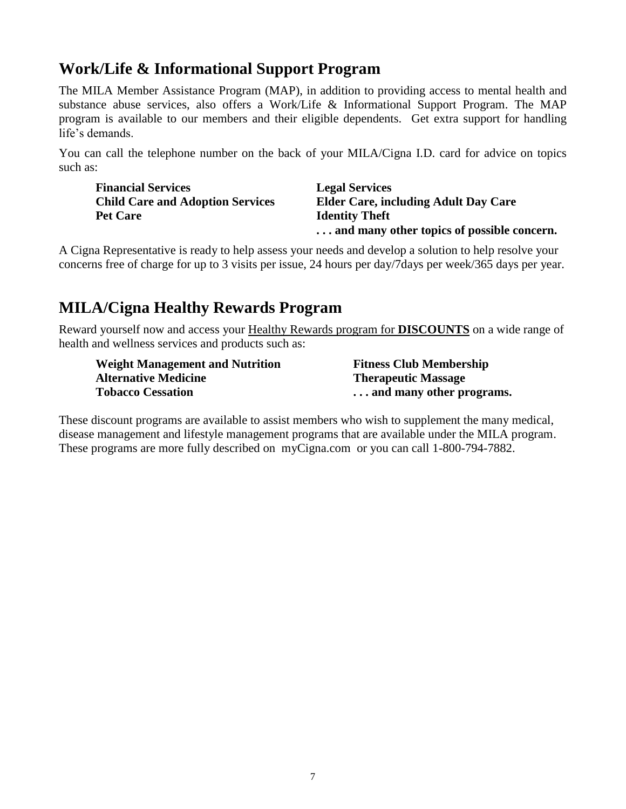## **Work/Life & Informational Support Program**

The MILA Member Assistance Program (MAP), in addition to providing access to mental health and substance abuse services, also offers a Work/Life & Informational Support Program. The MAP program is available to our members and their eligible dependents. Get extra support for handling life's demands.

You can call the telephone number on the back of your MILA/Cigna I.D. card for advice on topics such as:

**Financial Services Legal Services Pet Care Identity Theft** 

**Child Care and Adoption Services Elder Care, including Adult Day Care . . . and many other topics of possible concern.**

A Cigna Representative is ready to help assess your needs and develop a solution to help resolve your concerns free of charge for up to 3 visits per issue, 24 hours per day/7days per week/365 days per year.

## **MILA/Cigna Healthy Rewards Program**

Reward yourself now and access your Healthy Rewards program for **DISCOUNTS** on a wide range of health and wellness services and products such as:

| <b>Weight Management and Nutrition</b> | <b>Fitness Club Membership</b> |
|----------------------------------------|--------------------------------|
| <b>Alternative Medicine</b>            | <b>Therapeutic Massage</b>     |
| <b>Tobacco Cessation</b>               | and many other programs.       |

These discount programs are available to assist members who wish to supplement the many medical, disease management and lifestyle management programs that are available under the MILA program. These programs are more fully described on myCigna.com or you can call 1-800-794-7882.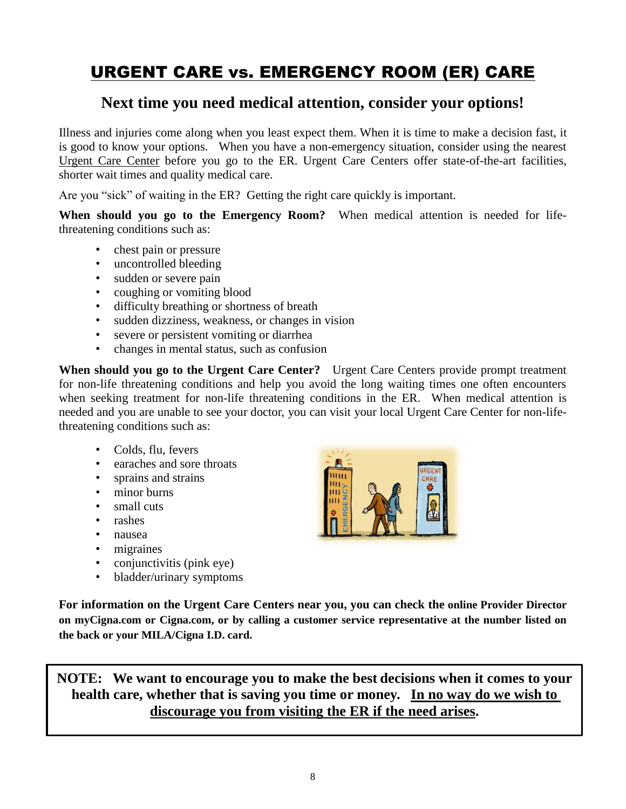## URGENT CARE vs. EMERGENCY ROOM (ER) CARE

## **Next time you need medical attention, consider your options!**

Illness and injuries come along when you least expect them. When it is time to make a decision fast, it is good to know your options. When you have a non-emergency situation, consider using the nearest Urgent Care Center before you go to the ER. Urgent Care Centers offer state-of-the-art facilities, shorter wait times and quality medical care.

Are you "sick" of waiting in the ER? Getting the right care quickly is important.

**When should you go to the Emergency Room?** When medical attention is needed for lifethreatening conditions such as:

- chest pain or pressure
- uncontrolled bleeding
- 
- sudden or severe pain<br>• coughing or vomiting • coughing or vomiting blood
- difficulty breathing or shortness of breath
- sudden dizziness, weakness, or changes in vision
- severe or persistent vomiting or diarrhea
- changes in mental status, such as confusion

**When should you go to the Urgent Care Center?** Urgent Care Centers provide prompt treatment for non-life threatening conditions and help you avoid the long waiting times one often encounters when seeking treatment for non-life threatening conditions in the ER. When medical attention is needed and you are unable to see your doctor, you can visit your local Urgent Care Center for non-lifethreatening conditions such as:

- Colds, flu, fevers
- earaches and sore throats
- sprains and strains
- minor burns
- small cuts
- rashes
- nausea
- migraines
- conjunctivitis (pink eye)
- bladder/urinary symptoms



**For information on the Urgent Care Centers near you, you can check the online Provider Director on myCigna.com or Cigna.com, or by calling a customer service representative at the number listed on the back or your MILA/Cigna I.D. card.**

**NOTE: We want to encourage you to make the best decisions when it comes to your health care, whether that is saving you time or money. In no way do we wish to discourage you from visiting the ER if the need arises.**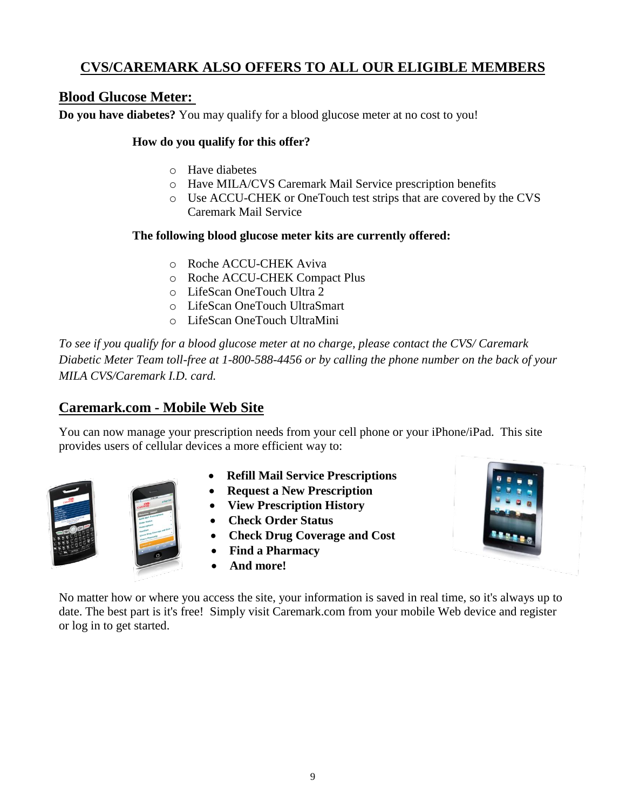## **CVS/CAREMARK ALSO OFFERS TO ALL OUR ELIGIBLE MEMBERS**

## **Blood Glucose Meter:**

**Do you have diabetes?** You may qualify for a blood glucose meter at no cost to you!

#### **How do you qualify for this offer?**

- o Have diabetes
- o Have MILA/CVS Caremark Mail Service prescription benefits
- o Use ACCU-CHEK or OneTouch test strips that are covered by the CVS Caremark Mail Service

#### **The following blood glucose meter kits are currently offered:**

- o Roche ACCU-CHEK Aviva
- o Roche ACCU-CHEK Compact Plus
- o LifeScan OneTouch Ultra 2
- o LifeScan OneTouch UltraSmart
- o LifeScan OneTouch UltraMini

*To see if you qualify for a blood glucose meter at no charge, please contact the CVS/ Caremark Diabetic Meter Team toll-free at 1-800-588-4456 or by calling the phone number on the back of your MILA CVS/Caremark I.D. card.*

### **Caremark.com - Mobile Web Site**

You can now manage your prescription needs from your cell phone or your iPhone/iPad. This site provides users of cellular devices a more efficient way to:



- **Refill Mail Service Prescriptions**
- **Request a New Prescription**
- **View Prescription History**
- **Check Order Status**
- **Check Drug Coverage and Cost**
- **Find a Pharmacy**
- **And more!**

No matter how or where you access the site, your information is saved in real time, so it's always up to date. The best part is it's free! Simply visit Caremark.com from your mobile Web device and register or log in to get started.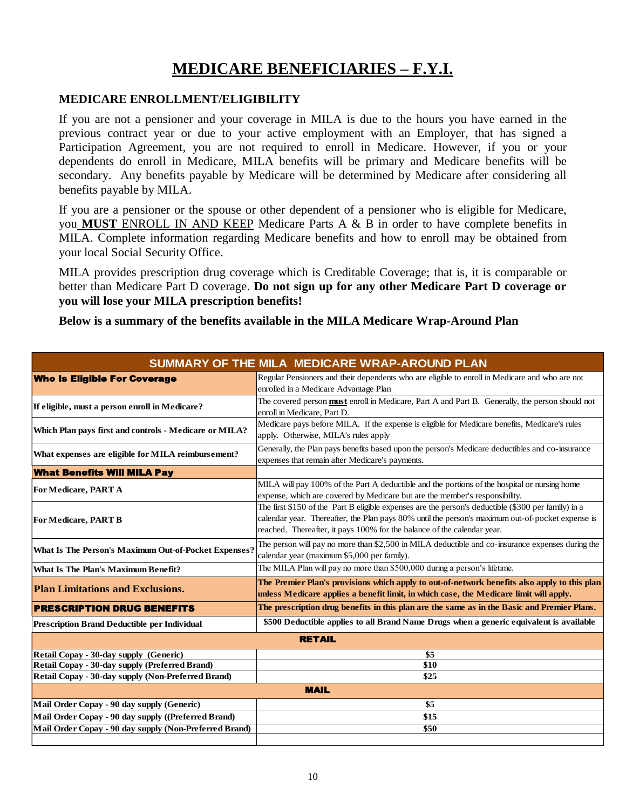## **MEDICARE BENEFICIARIES – F.Y.I.**

#### **MEDICARE ENROLLMENT/ELIGIBILITY**

If you are not a pensioner and your coverage in MILA is due to the hours you have earned in the previous contract year or due to your active employment with an Employer, that has signed a Participation Agreement, you are not required to enroll in Medicare. However, if you or your dependents do enroll in Medicare, MILA benefits will be primary and Medicare benefits will be secondary. Any benefits payable by Medicare will be determined by Medicare after considering all benefits payable by MILA.

If you are a pensioner or the spouse or other dependent of a pensioner who is eligible for Medicare, you **MUST** ENROLL IN AND KEEP Medicare Parts A & B in order to have complete benefits in MILA. Complete information regarding Medicare benefits and how to enroll may be obtained from your local Social Security Office.

MILA provides prescription drug coverage which is Creditable Coverage; that is, it is comparable or better than Medicare Part D coverage. **Do not sign up for any other Medicare Part D coverage or you will lose your MILA prescription benefits!**

**Below is a summary of the benefits available in the MILA Medicare Wrap-Around Plan** 

|                                                        | SUMMARY OF THE MILA MEDICARE WRAP-AROUND PLAN                                                                                                                                                                                                                                      |
|--------------------------------------------------------|------------------------------------------------------------------------------------------------------------------------------------------------------------------------------------------------------------------------------------------------------------------------------------|
| <b>Who Is Eligible For Coverage</b>                    | Regular Pensioners and their dependents who are eligible to enroll in Medicare and who are not<br>enrolled in a Medicare Advantage Plan                                                                                                                                            |
| If eligible, must a person enroll in Medicare?         | The covered person <b>must</b> enroll in Medicare, Part A and Part B. Generally, the person should not<br>enroll in Medicare, Part D.                                                                                                                                              |
| Which Plan pays first and controls - Medicare or MILA? | Medicare pays before MILA. If the expense is eligible for Medicare benefits, Medicare's rules<br>apply. Otherwise, MILA's rules apply                                                                                                                                              |
| What expenses are eligible for MILA reimbursement?     | Generally, the Plan pays benefits based upon the person's Medicare deductibles and co-insurance<br>expenses that remain after Medicare's payments.                                                                                                                                 |
| <b>What Benefits Will MILA Pay</b>                     |                                                                                                                                                                                                                                                                                    |
| For Medicare, PART A                                   | MILA will pay 100% of the Part A deductible and the portions of the hospital or nursing home<br>expense, which are covered by Medicare but are the member's responsibility.                                                                                                        |
| <b>For Medicare, PART B</b>                            | The first \$150 of the Part B eligible expenses are the person's deductible (\$300 per family) in a<br>calendar year. Thereafter, the Plan pays 80% until the person's maximum out-of-pocket expense is<br>reached. Thereafter, it pays 100% for the balance of the calendar year. |
| What Is The Person's Maximum Out-of-Pocket Expenses?   | The person will pay no more than \$2,500 in MILA deductible and co-insurance expenses during the<br>calendar year (maximum \$5,000 per family).                                                                                                                                    |
| <b>What Is The Plan's Maximum Benefit?</b>             | The MILA Plan will pay no more than \$500,000 during a person's lifetime.                                                                                                                                                                                                          |
| <b>Plan Limitations and Exclusions.</b>                | The Premier Plan's provisions which apply to out-of-network benefits also apply to this plan<br>unless Medicare applies a benefit limit, in which case, the Medicare limit will apply.                                                                                             |
| <b>PRESCRIPTION DRUG BENEFITS</b>                      | The prescription drug benefits in this plan are the same as in the Basic and Premier Plans.                                                                                                                                                                                        |
| <b>Prescription Brand Deductible per Individual</b>    | \$500 Deductible applies to all Brand Name Drugs when a generic equivalent is available                                                                                                                                                                                            |
|                                                        | <b>RETAIL</b>                                                                                                                                                                                                                                                                      |
| Retail Copay - 30-day supply (Generic)                 | \$5                                                                                                                                                                                                                                                                                |
| Retail Copay - 30-day supply (Preferred Brand)         | \$10                                                                                                                                                                                                                                                                               |
| Retail Copay - 30-day supply (Non-Preferred Brand)     | \$25                                                                                                                                                                                                                                                                               |
|                                                        | <b>MAIL</b>                                                                                                                                                                                                                                                                        |
| Mail Order Copay - 90 day supply (Generic)             | \$5                                                                                                                                                                                                                                                                                |
| Mail Order Copay - 90 day supply ((Preferred Brand)    | \$15                                                                                                                                                                                                                                                                               |
| Mail Order Copay - 90 day supply (Non-Preferred Brand) | \$50                                                                                                                                                                                                                                                                               |
|                                                        |                                                                                                                                                                                                                                                                                    |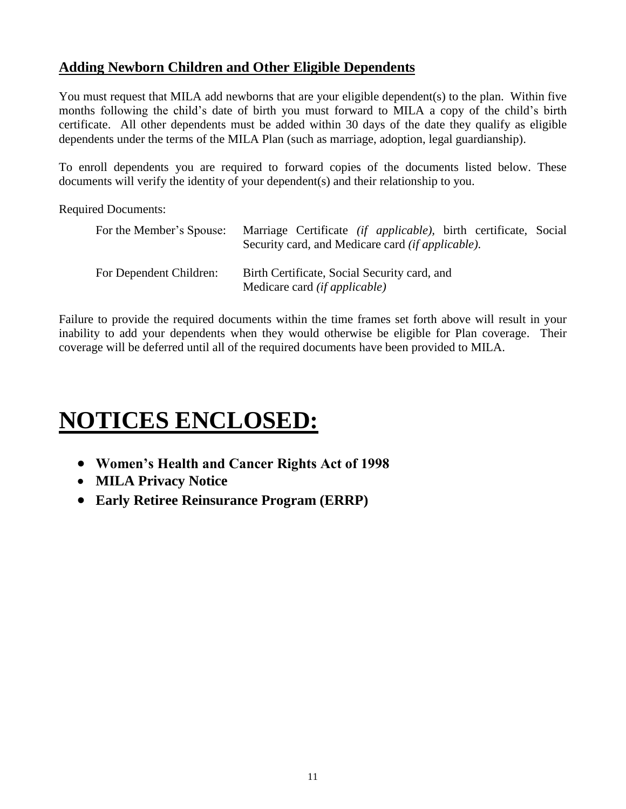### **Adding Newborn Children and Other Eligible Dependents**

You must request that MILA add newborns that are your eligible dependent(s) to the plan. Within five months following the child's date of birth you must forward to MILA a copy of the child's birth certificate. All other dependents must be added within 30 days of the date they qualify as eligible dependents under the terms of the MILA Plan (such as marriage, adoption, legal guardianship).

To enroll dependents you are required to forward copies of the documents listed below. These documents will verify the identity of your dependent(s) and their relationship to you.

Required Documents:

| For the Member's Spouse: | Marriage Certificate <i>(if applicable)</i> , birth certificate, Social<br>Security card, and Medicare card <i>(if applicable)</i> . |
|--------------------------|--------------------------------------------------------------------------------------------------------------------------------------|
| For Dependent Children:  | Birth Certificate, Social Security card, and<br>Medicare card <i>(if applicable)</i>                                                 |

Failure to provide the required documents within the time frames set forth above will result in your inability to add your dependents when they would otherwise be eligible for Plan coverage. Their coverage will be deferred until all of the required documents have been provided to MILA.

# **NOTICES ENCLOSED:**

- **Women's Health and Cancer Rights Act of 1998**
- **MILA Privacy Notice**
- **Early Retiree Reinsurance Program (ERRP)**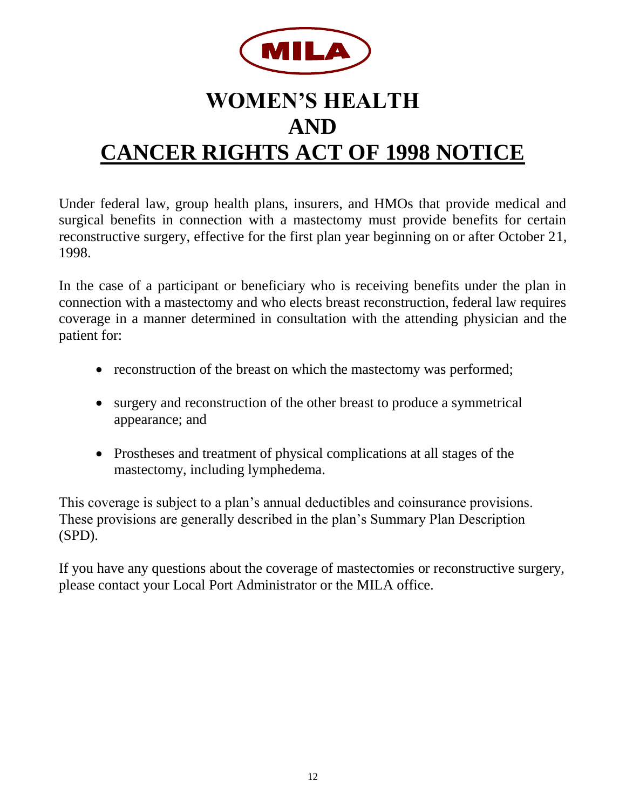

# **WOMEN'S HEALTH AND CANCER RIGHTS ACT OF 1998 NOTICE**

Under federal law, group health plans, insurers, and HMOs that provide medical and surgical benefits in connection with a mastectomy must provide benefits for certain reconstructive surgery, effective for the first plan year beginning on or after October 21, 1998.

In the case of a participant or beneficiary who is receiving benefits under the plan in connection with a mastectomy and who elects breast reconstruction, federal law requires coverage in a manner determined in consultation with the attending physician and the patient for:

- reconstruction of the breast on which the mastectomy was performed;
- surgery and reconstruction of the other breast to produce a symmetrical appearance; and
- Prostheses and treatment of physical complications at all stages of the mastectomy, including lymphedema.

This coverage is subject to a plan's annual deductibles and coinsurance provisions. These provisions are generally described in the plan's Summary Plan Description (SPD).

If you have any questions about the coverage of mastectomies or reconstructive surgery, please contact your Local Port Administrator or the MILA office.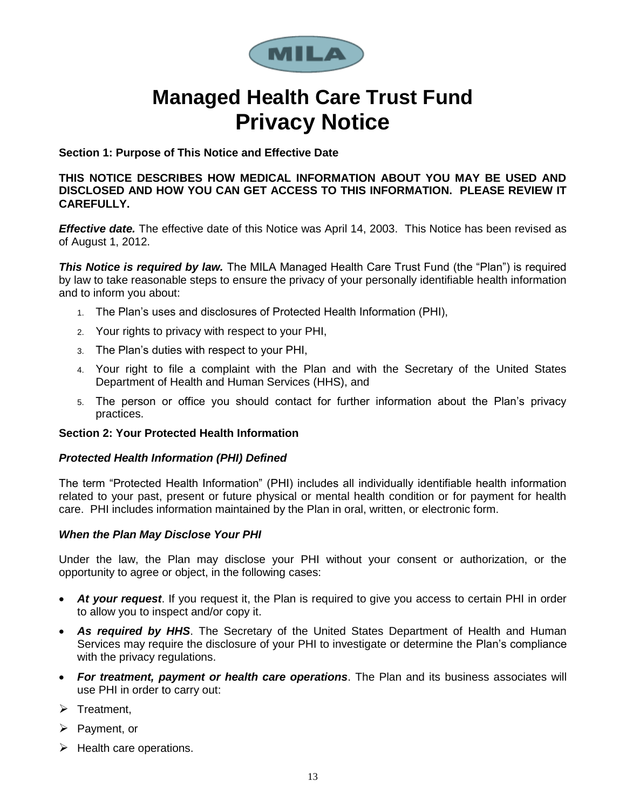

# **Managed Health Care Trust Fund Privacy Notice**

**Section 1: Purpose of This Notice and Effective Date**

**THIS NOTICE DESCRIBES HOW MEDICAL INFORMATION ABOUT YOU MAY BE USED AND DISCLOSED AND HOW YOU CAN GET ACCESS TO THIS INFORMATION. PLEASE REVIEW IT CAREFULLY.** 

*Effective date.* The effective date of this Notice was April 14, 2003. This Notice has been revised as of August 1, 2012.

**This Notice is required by law.** The MILA Managed Health Care Trust Fund (the "Plan") is required by law to take reasonable steps to ensure the privacy of your personally identifiable health information and to inform you about:

- 1. The Plan's uses and disclosures of Protected Health Information (PHI),
- 2. Your rights to privacy with respect to your PHI,
- 3. The Plan's duties with respect to your PHI,
- 4. Your right to file a complaint with the Plan and with the Secretary of the United States Department of Health and Human Services (HHS), and
- 5. The person or office you should contact for further information about the Plan's privacy practices.

#### **Section 2: Your Protected Health Information**

#### *Protected Health Information (PHI) Defined*

The term "Protected Health Information" (PHI) includes all individually identifiable health information related to your past, present or future physical or mental health condition or for payment for health care. PHI includes information maintained by the Plan in oral, written, or electronic form.

#### *When the Plan May Disclose Your PHI*

Under the law, the Plan may disclose your PHI without your consent or authorization, or the opportunity to agree or object, in the following cases:

- *At your request*. If you request it, the Plan is required to give you access to certain PHI in order to allow you to inspect and/or copy it.
- *As required by HHS*. The Secretary of the United States Department of Health and Human Services may require the disclosure of your PHI to investigate or determine the Plan's compliance with the privacy regulations.
- *For treatment, payment or health care operations*. The Plan and its business associates will use PHI in order to carry out:
- $\triangleright$  Treatment.
- $\triangleright$  Payment, or
- $\blacktriangleright$  Health care operations.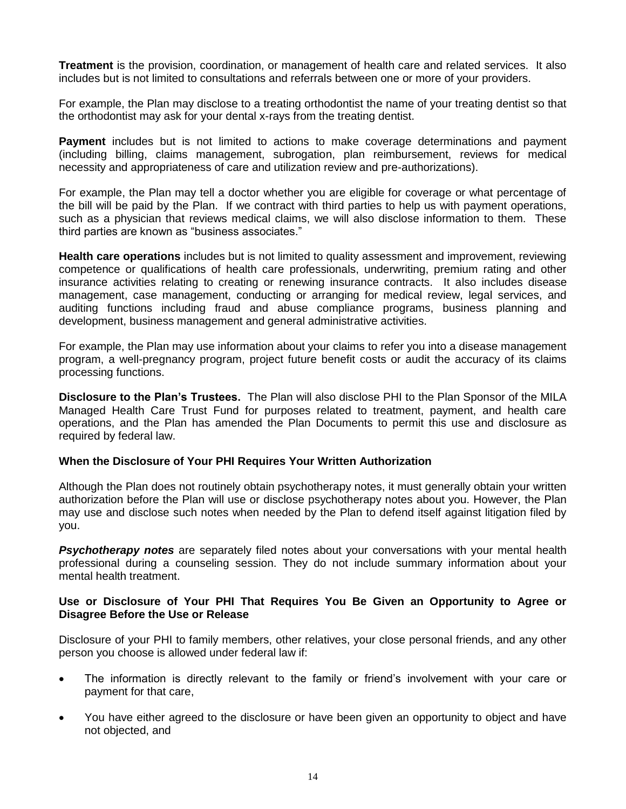**Treatment** is the provision, coordination, or management of health care and related services. It also includes but is not limited to consultations and referrals between one or more of your providers.

For example, the Plan may disclose to a treating orthodontist the name of your treating dentist so that the orthodontist may ask for your dental x-rays from the treating dentist.

**Payment** includes but is not limited to actions to make coverage determinations and payment (including billing, claims management, subrogation, plan reimbursement, reviews for medical necessity and appropriateness of care and utilization review and pre-authorizations).

For example, the Plan may tell a doctor whether you are eligible for coverage or what percentage of the bill will be paid by the Plan. If we contract with third parties to help us with payment operations, such as a physician that reviews medical claims, we will also disclose information to them. These third parties are known as "business associates."

**Health care operations** includes but is not limited to quality assessment and improvement, reviewing competence or qualifications of health care professionals, underwriting, premium rating and other insurance activities relating to creating or renewing insurance contracts. It also includes disease management, case management, conducting or arranging for medical review, legal services, and auditing functions including fraud and abuse compliance programs, business planning and development, business management and general administrative activities.

For example, the Plan may use information about your claims to refer you into a disease management program, a well-pregnancy program, project future benefit costs or audit the accuracy of its claims processing functions.

**Disclosure to the Plan's Trustees.** The Plan will also disclose PHI to the Plan Sponsor of the MILA Managed Health Care Trust Fund for purposes related to treatment, payment, and health care operations, and the Plan has amended the Plan Documents to permit this use and disclosure as required by federal law.

#### **When the Disclosure of Your PHI Requires Your Written Authorization**

Although the Plan does not routinely obtain psychotherapy notes, it must generally obtain your written authorization before the Plan will use or disclose psychotherapy notes about you. However, the Plan may use and disclose such notes when needed by the Plan to defend itself against litigation filed by you.

*Psychotherapy notes* are separately filed notes about your conversations with your mental health professional during a counseling session. They do not include summary information about your mental health treatment.

#### **Use or Disclosure of Your PHI That Requires You Be Given an Opportunity to Agree or Disagree Before the Use or Release**

Disclosure of your PHI to family members, other relatives, your close personal friends, and any other person you choose is allowed under federal law if:

- The information is directly relevant to the family or friend's involvement with your care or payment for that care,
- You have either agreed to the disclosure or have been given an opportunity to object and have not objected, and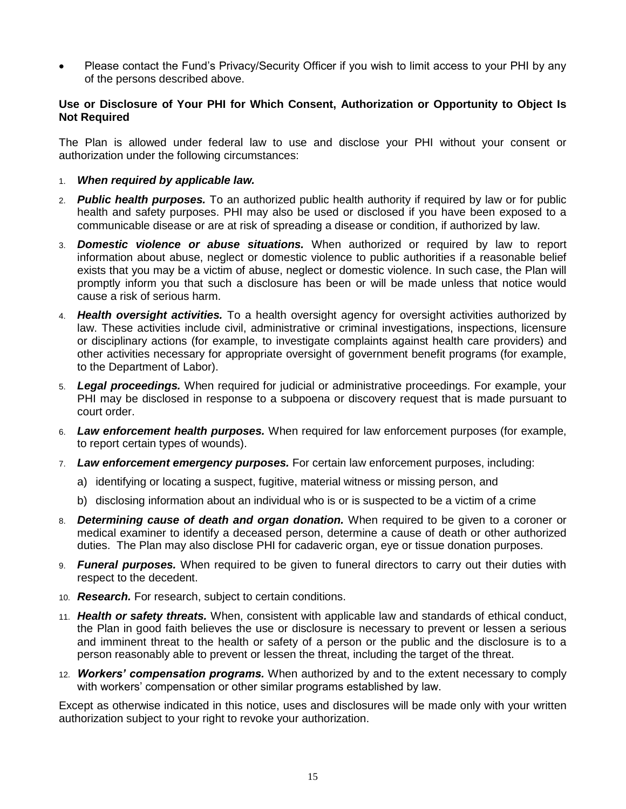Please contact the Fund's Privacy/Security Officer if you wish to limit access to your PHI by any of the persons described above.

#### **Use or Disclosure of Your PHI for Which Consent, Authorization or Opportunity to Object Is Not Required**

The Plan is allowed under federal law to use and disclose your PHI without your consent or authorization under the following circumstances:

#### 1. *When required by applicable law.*

- 2. *Public health purposes.* To an authorized public health authority if required by law or for public health and safety purposes. PHI may also be used or disclosed if you have been exposed to a communicable disease or are at risk of spreading a disease or condition, if authorized by law.
- 3. *Domestic violence or abuse situations.* When authorized or required by law to report information about abuse, neglect or domestic violence to public authorities if a reasonable belief exists that you may be a victim of abuse, neglect or domestic violence. In such case, the Plan will promptly inform you that such a disclosure has been or will be made unless that notice would cause a risk of serious harm.
- 4. *Health oversight activities.* To a health oversight agency for oversight activities authorized by law. These activities include civil, administrative or criminal investigations, inspections, licensure or disciplinary actions (for example, to investigate complaints against health care providers) and other activities necessary for appropriate oversight of government benefit programs (for example, to the Department of Labor).
- 5. *Legal proceedings.* When required for judicial or administrative proceedings. For example, your PHI may be disclosed in response to a subpoena or discovery request that is made pursuant to court order.
- 6. *Law enforcement health purposes.* When required for law enforcement purposes (for example, to report certain types of wounds).
- 7. *Law enforcement emergency purposes.* For certain law enforcement purposes, including:
	- a) identifying or locating a suspect, fugitive, material witness or missing person, and
	- b) disclosing information about an individual who is or is suspected to be a victim of a crime
- 8. *Determining cause of death and organ donation.* When required to be given to a coroner or medical examiner to identify a deceased person, determine a cause of death or other authorized duties. The Plan may also disclose PHI for cadaveric organ, eye or tissue donation purposes.
- 9. *Funeral purposes.* When required to be given to funeral directors to carry out their duties with respect to the decedent.
- 10. *Research.* For research, subject to certain conditions.
- 11. *Health or safety threats.* When, consistent with applicable law and standards of ethical conduct, the Plan in good faith believes the use or disclosure is necessary to prevent or lessen a serious and imminent threat to the health or safety of a person or the public and the disclosure is to a person reasonably able to prevent or lessen the threat, including the target of the threat.
- 12. *Workers' compensation programs.* When authorized by and to the extent necessary to comply with workers' compensation or other similar programs established by law.

Except as otherwise indicated in this notice, uses and disclosures will be made only with your written authorization subject to your right to revoke your authorization.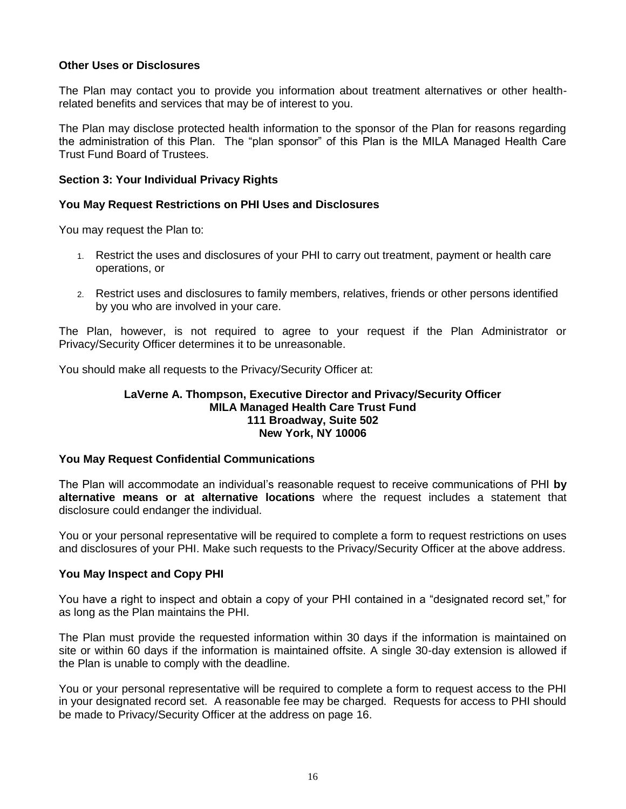#### **Other Uses or Disclosures**

The Plan may contact you to provide you information about treatment alternatives or other healthrelated benefits and services that may be of interest to you.

The Plan may disclose protected health information to the sponsor of the Plan for reasons regarding the administration of this Plan. The "plan sponsor" of this Plan is the MILA Managed Health Care Trust Fund Board of Trustees.

#### **Section 3: Your Individual Privacy Rights**

#### **You May Request Restrictions on PHI Uses and Disclosures**

You may request the Plan to:

- 1. Restrict the uses and disclosures of your PHI to carry out treatment, payment or health care operations, or
- 2. Restrict uses and disclosures to family members, relatives, friends or other persons identified by you who are involved in your care.

The Plan, however, is not required to agree to your request if the Plan Administrator or Privacy/Security Officer determines it to be unreasonable.

You should make all requests to the Privacy/Security Officer at:

#### **LaVerne A. Thompson, Executive Director and Privacy/Security Officer MILA Managed Health Care Trust Fund 111 Broadway, Suite 502 New York, NY 10006**

#### **You May Request Confidential Communications**

The Plan will accommodate an individual's reasonable request to receive communications of PHI **by alternative means or at alternative locations** where the request includes a statement that disclosure could endanger the individual.

You or your personal representative will be required to complete a form to request restrictions on uses and disclosures of your PHI. Make such requests to the Privacy/Security Officer at the above address.

#### **You May Inspect and Copy PHI**

You have a right to inspect and obtain a copy of your PHI contained in a "designated record set," for as long as the Plan maintains the PHI.

The Plan must provide the requested information within 30 days if the information is maintained on site or within 60 days if the information is maintained offsite. A single 30-day extension is allowed if the Plan is unable to comply with the deadline.

You or your personal representative will be required to complete a form to request access to the PHI in your designated record set. A reasonable fee may be charged. Requests for access to PHI should be made to Privacy/Security Officer at the address on page 16.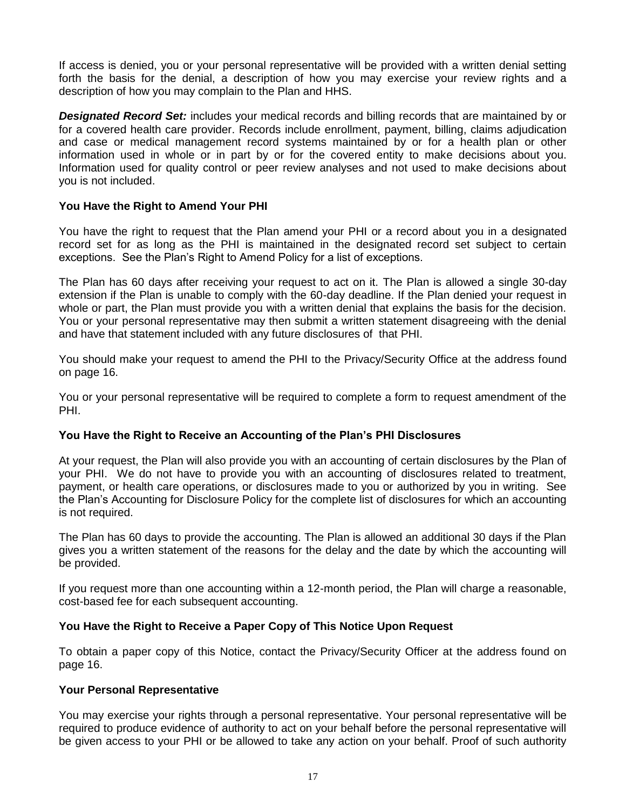If access is denied, you or your personal representative will be provided with a written denial setting forth the basis for the denial, a description of how you may exercise your review rights and a description of how you may complain to the Plan and HHS.

*Designated Record Set:* includes your medical records and billing records that are maintained by or for a covered health care provider. Records include enrollment, payment, billing, claims adjudication and case or medical management record systems maintained by or for a health plan or other information used in whole or in part by or for the covered entity to make decisions about you. Information used for quality control or peer review analyses and not used to make decisions about you is not included.

#### **You Have the Right to Amend Your PHI**

You have the right to request that the Plan amend your PHI or a record about you in a designated record set for as long as the PHI is maintained in the designated record set subject to certain exceptions. See the Plan's Right to Amend Policy for a list of exceptions.

The Plan has 60 days after receiving your request to act on it. The Plan is allowed a single 30-day extension if the Plan is unable to comply with the 60-day deadline. If the Plan denied your request in whole or part, the Plan must provide you with a written denial that explains the basis for the decision. You or your personal representative may then submit a written statement disagreeing with the denial and have that statement included with any future disclosures of that PHI.

You should make your request to amend the PHI to the Privacy/Security Office at the address found on page 16.

You or your personal representative will be required to complete a form to request amendment of the PHI.

#### **You Have the Right to Receive an Accounting of the Plan's PHI Disclosures**

At your request, the Plan will also provide you with an accounting of certain disclosures by the Plan of your PHI. We do not have to provide you with an accounting of disclosures related to treatment, payment, or health care operations, or disclosures made to you or authorized by you in writing. See the Plan's Accounting for Disclosure Policy for the complete list of disclosures for which an accounting is not required.

The Plan has 60 days to provide the accounting. The Plan is allowed an additional 30 days if the Plan gives you a written statement of the reasons for the delay and the date by which the accounting will be provided.

If you request more than one accounting within a 12-month period, the Plan will charge a reasonable, cost-based fee for each subsequent accounting.

#### **You Have the Right to Receive a Paper Copy of This Notice Upon Request**

To obtain a paper copy of this Notice, contact the Privacy/Security Officer at the address found on page 16.

#### **Your Personal Representative**

You may exercise your rights through a personal representative. Your personal representative will be required to produce evidence of authority to act on your behalf before the personal representative will be given access to your PHI or be allowed to take any action on your behalf. Proof of such authority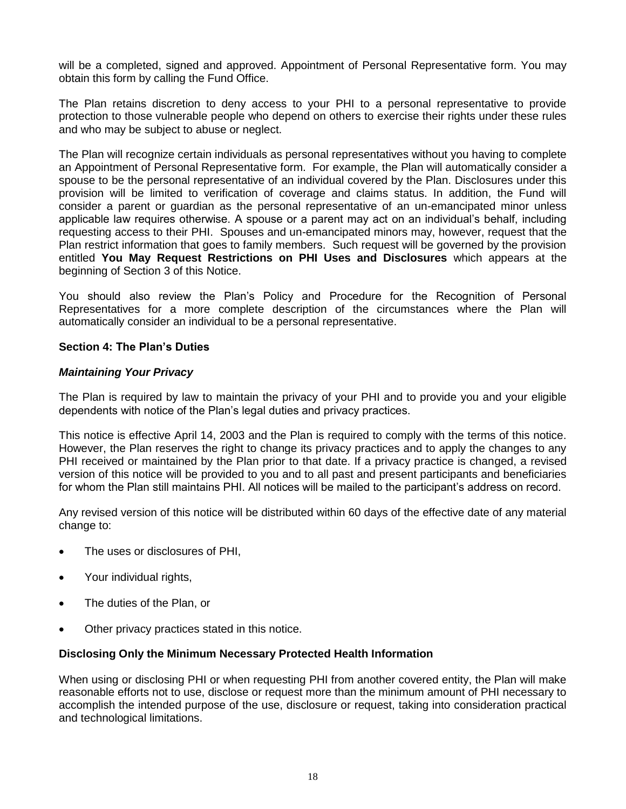will be a completed, signed and approved. Appointment of Personal Representative form. You may obtain this form by calling the Fund Office.

The Plan retains discretion to deny access to your PHI to a personal representative to provide protection to those vulnerable people who depend on others to exercise their rights under these rules and who may be subject to abuse or neglect.

The Plan will recognize certain individuals as personal representatives without you having to complete an Appointment of Personal Representative form. For example, the Plan will automatically consider a spouse to be the personal representative of an individual covered by the Plan. Disclosures under this provision will be limited to verification of coverage and claims status. In addition, the Fund will consider a parent or guardian as the personal representative of an un-emancipated minor unless applicable law requires otherwise. A spouse or a parent may act on an individual's behalf, including requesting access to their PHI. Spouses and un-emancipated minors may, however, request that the Plan restrict information that goes to family members. Such request will be governed by the provision entitled **You May Request Restrictions on PHI Uses and Disclosures** which appears at the beginning of Section 3 of this Notice.

You should also review the Plan's Policy and Procedure for the Recognition of Personal Representatives for a more complete description of the circumstances where the Plan will automatically consider an individual to be a personal representative.

#### **Section 4: The Plan's Duties**

#### *Maintaining Your Privacy*

The Plan is required by law to maintain the privacy of your PHI and to provide you and your eligible dependents with notice of the Plan's legal duties and privacy practices.

This notice is effective April 14, 2003 and the Plan is required to comply with the terms of this notice. However, the Plan reserves the right to change its privacy practices and to apply the changes to any PHI received or maintained by the Plan prior to that date. If a privacy practice is changed, a revised version of this notice will be provided to you and to all past and present participants and beneficiaries for whom the Plan still maintains PHI. All notices will be mailed to the participant's address on record.

Any revised version of this notice will be distributed within 60 days of the effective date of any material change to:

- The uses or disclosures of PHI,
- Your individual rights,
- The duties of the Plan, or
- Other privacy practices stated in this notice.

#### **Disclosing Only the Minimum Necessary Protected Health Information**

When using or disclosing PHI or when requesting PHI from another covered entity, the Plan will make reasonable efforts not to use, disclose or request more than the minimum amount of PHI necessary to accomplish the intended purpose of the use, disclosure or request, taking into consideration practical and technological limitations.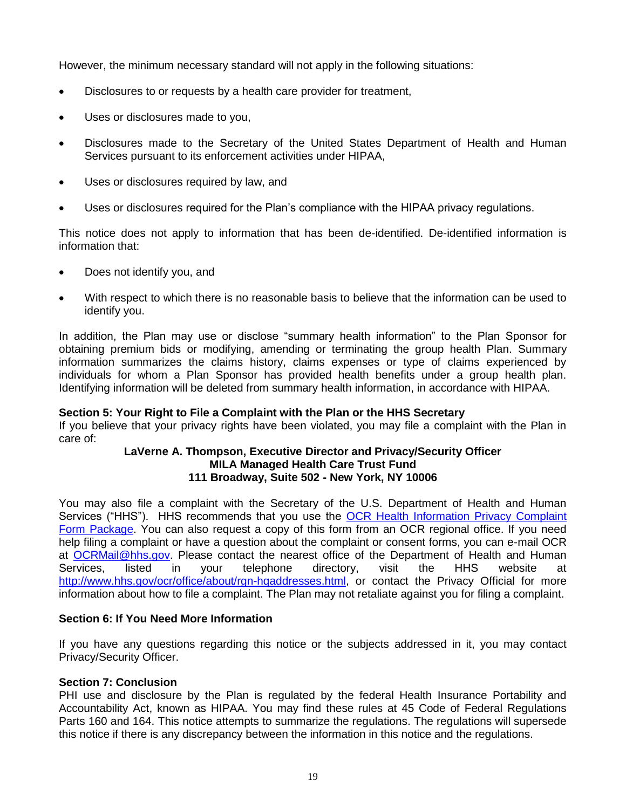However, the minimum necessary standard will not apply in the following situations:

- Disclosures to or requests by a health care provider for treatment,
- Uses or disclosures made to you,
- Disclosures made to the Secretary of the United States Department of Health and Human Services pursuant to its enforcement activities under HIPAA,
- Uses or disclosures required by law, and
- Uses or disclosures required for the Plan's compliance with the HIPAA privacy regulations.

This notice does not apply to information that has been de-identified. De-identified information is information that:

- Does not identify you, and
- With respect to which there is no reasonable basis to believe that the information can be used to identify you.

In addition, the Plan may use or disclose "summary health information" to the Plan Sponsor for obtaining premium bids or modifying, amending or terminating the group health Plan. Summary information summarizes the claims history, claims expenses or type of claims experienced by individuals for whom a Plan Sponsor has provided health benefits under a group health plan. Identifying information will be deleted from summary health information, in accordance with HIPAA.

#### **Section 5: Your Right to File a Complaint with the Plan or the HHS Secretary**

If you believe that your privacy rights have been violated, you may file a complaint with the Plan in care of:

#### **LaVerne A. Thompson, Executive Director and Privacy/Security Officer MILA Managed Health Care Trust Fund 111 Broadway, Suite 502 - New York, NY 10006**

You may also file a complaint with the Secretary of the U.S. Department of Health and Human Services ("HHS"). HHS recommends that you use the [OCR Health Information Privacy Complaint](http://www.hhs.gov/ocr/privacy/hipaa/complaints/hipcomplaintform.pdf)  [Form Package.](http://www.hhs.gov/ocr/privacy/hipaa/complaints/hipcomplaintform.pdf) You can also request a copy of this form from an OCR regional office. If you need help filing a complaint or have a question about the complaint or consent forms, you can e-mail OCR at [OCRMail@hhs.gov.](mailto:OCRMail@hhs.gov) Please contact the nearest office of the Department of Health and Human Services, listed in your telephone directory, visit the HHS website at [http://www.hhs.gov/ocr/office/about/rgn-hqaddresses.html,](http://www.hhs.gov/ocr/office/about/rgn-hqaddresses.html) or contact the Privacy Official for more information about how to file a complaint. The Plan may not retaliate against you for filing a complaint.

#### **Section 6: If You Need More Information**

If you have any questions regarding this notice or the subjects addressed in it, you may contact Privacy/Security Officer.

#### **Section 7: Conclusion**

PHI use and disclosure by the Plan is regulated by the federal Health Insurance Portability and Accountability Act, known as HIPAA. You may find these rules at 45 Code of Federal Regulations Parts 160 and 164. This notice attempts to summarize the regulations. The regulations will supersede this notice if there is any discrepancy between the information in this notice and the regulations.